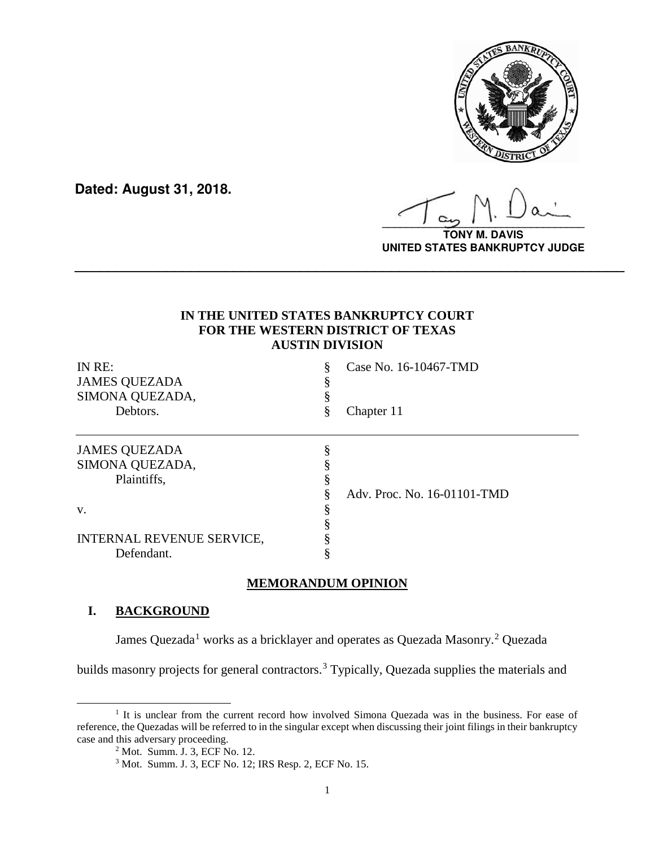

**Dated: August 31, 2018.**

**\_\_\_\_\_\_\_\_\_\_\_\_\_\_\_\_\_\_\_\_\_\_\_\_\_\_\_\_\_\_\_\_\_\_**

**TONY M. DAVIS UNITED STATES BANKRUPTCY JUDGE**

# **IN THE UNITED STATES BANKRUPTCY COURT FOR THE WESTERN DISTRICT OF TEXAS AUSTIN DIVISION**

**\_\_\_\_\_\_\_\_\_\_\_\_\_\_\_\_\_\_\_\_\_\_\_\_\_\_\_\_\_\_\_\_\_\_\_\_\_\_\_\_\_\_\_\_\_\_\_\_\_\_\_\_\_\_\_\_\_\_\_\_\_\_\_\_\_\_**

| IN RE:<br><b>JAMES QUEZADA</b> | §  | Case No. 16-10467-TMD       |
|--------------------------------|----|-----------------------------|
|                                |    |                             |
| Debtors.                       | \$ | Chapter 11                  |
| <b>JAMES QUEZADA</b>           |    |                             |
| SIMONA QUEZADA,                |    |                             |
| Plaintiffs,                    |    |                             |
|                                |    | Adv. Proc. No. 16-01101-TMD |
| V.                             |    |                             |
|                                |    |                             |
| INTERNAL REVENUE SERVICE,      |    |                             |
| Defendant.                     |    |                             |

# **MEMORANDUM OPINION**

## **I. BACKGROUND**

James Quezada<sup>[1](#page-0-0)</sup> works as a bricklayer and operates as Quezada Masonry.<sup>[2](#page-0-1)</sup> Quezada

builds masonry projects for general contractors.<sup>[3](#page-0-2)</sup> Typically, Quezada supplies the materials and

<span id="page-0-2"></span><span id="page-0-1"></span><span id="page-0-0"></span><sup>&</sup>lt;sup>1</sup> It is unclear from the current record how involved Simona Quezada was in the business. For ease of reference, the Quezadas will be referred to in the singular except when discussing their joint filings in their bankruptcy case and this adversary proceeding.

<sup>&</sup>lt;sup>2</sup> Mot. Summ. J. 3, ECF No. 12.

<sup>3</sup> Mot. Summ. J. 3, ECF No. 12; IRS Resp. 2, ECF No. 15.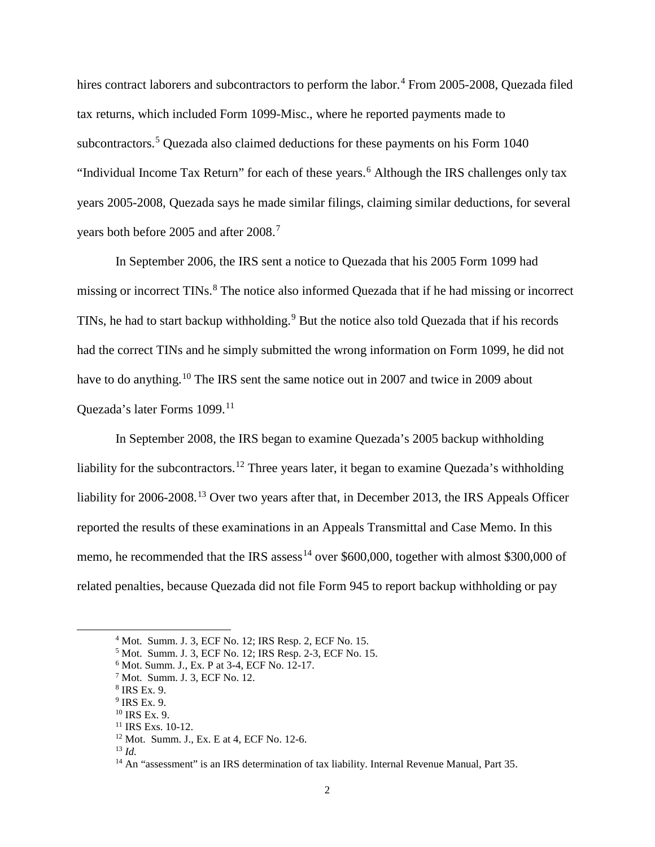hires contract laborers and subcontractors to perform the labor.<sup>[4](#page-1-0)</sup> From 2005-2008, Quezada filed tax returns, which included Form 1099-Misc., where he reported payments made to subcontractors.<sup>[5](#page-1-1)</sup> Quezada also claimed deductions for these payments on his Form 1040 "Individual Income Tax Return" for each of these years.<sup>[6](#page-1-2)</sup> Although the IRS challenges only tax years 2005-2008, Quezada says he made similar filings, claiming similar deductions, for several years both before 2005 and after 2008.<sup>[7](#page-1-3)</sup>

In September 2006, the IRS sent a notice to Quezada that his 2005 Form 1099 had missing or incorrect TINs.<sup>[8](#page-1-4)</sup> The notice also informed Quezada that if he had missing or incorrect TINs, he had to start backup withholding.<sup>[9](#page-1-5)</sup> But the notice also told Quezada that if his records had the correct TINs and he simply submitted the wrong information on Form 1099, he did not have to do anything.<sup>[10](#page-1-6)</sup> The IRS sent the same notice out in 2007 and twice in 2009 about Quezada's later Forms 1099.[11](#page-1-7)

In September 2008, the IRS began to examine Quezada's 2005 backup withholding liability for the subcontractors.<sup>[12](#page-1-8)</sup> Three years later, it began to examine Quezada's withholding liability for 2006-2008.<sup>[13](#page-1-9)</sup> Over two years after that, in December 2013, the IRS Appeals Officer reported the results of these examinations in an Appeals Transmittal and Case Memo. In this memo, he recommended that the IRS assess<sup>[14](#page-1-10)</sup> over \$600,000, together with almost \$300,000 of related penalties, because Quezada did not file Form 945 to report backup withholding or pay

<span id="page-1-0"></span> <sup>4</sup> Mot. Summ. J. 3, ECF No. 12; IRS Resp. 2, ECF No. 15.

<span id="page-1-1"></span><sup>5</sup> Mot. Summ. J. 3, ECF No. 12; IRS Resp. 2-3, ECF No. 15.

<span id="page-1-2"></span><sup>&</sup>lt;sup>6</sup> Mot. Summ. J., Ex. P at 3-4, ECF No. 12-17.

<sup>7</sup> Mot. Summ. J. 3, ECF No. 12.

<span id="page-1-4"></span><span id="page-1-3"></span><sup>8</sup> IRS Ex. 9.

<span id="page-1-5"></span><sup>9</sup> IRS Ex. 9.

<span id="page-1-7"></span><span id="page-1-6"></span><sup>10</sup> IRS Ex. 9.

<sup>&</sup>lt;sup>11</sup> IRS Exs. 10-12.

<span id="page-1-8"></span><sup>12</sup> Mot. Summ. J., Ex. E at 4, ECF No. 12-6.

<span id="page-1-9"></span><sup>13</sup> *Id.*

<span id="page-1-10"></span><sup>&</sup>lt;sup>14</sup> An "assessment" is an IRS determination of tax liability. Internal Revenue Manual, Part 35.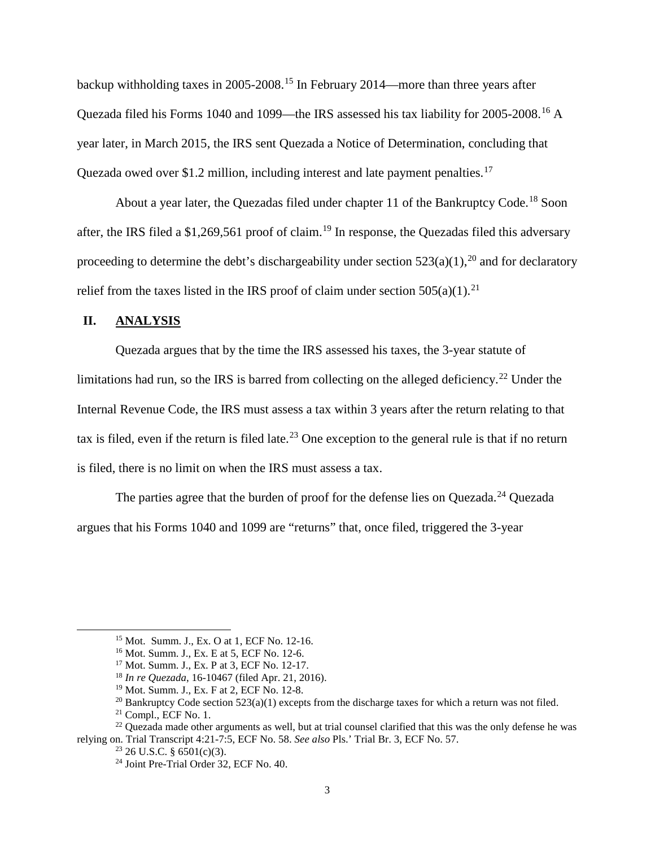backup withholding taxes in 2005-2008.[15](#page-2-0) In February 2014—more than three years after Quezada filed his Forms 1040 and 1099—the IRS assessed his tax liability for 2005-2008.[16](#page-2-1) A year later, in March 2015, the IRS sent Quezada a Notice of Determination, concluding that Quezada owed over \$1.2 million, including interest and late payment penalties.<sup>[17](#page-2-2)</sup>

About a year later, the Quezadas filed under chapter 11 of the Bankruptcy Code.<sup>[18](#page-2-3)</sup> Soon after, the IRS filed a \$1,269,561 proof of claim.<sup>[19](#page-2-4)</sup> In response, the Quezadas filed this adversary proceeding to determine the debt's dischargeability under section  $523(a)(1)$ , <sup>[20](#page-2-5)</sup> and for declaratory relief from the taxes listed in the IRS proof of claim under section  $505(a)(1)$ .<sup>[21](#page-2-6)</sup>

## **II. ANALYSIS**

Quezada argues that by the time the IRS assessed his taxes, the 3-year statute of limitations had run, so the IRS is barred from collecting on the alleged deficiency.<sup>[22](#page-2-7)</sup> Under the Internal Revenue Code, the IRS must assess a tax within 3 years after the return relating to that tax is filed, even if the return is filed late.<sup>[23](#page-2-8)</sup> One exception to the general rule is that if no return is filed, there is no limit on when the IRS must assess a tax.

The parties agree that the burden of proof for the defense lies on Quezada.<sup>[24](#page-2-9)</sup> Quezada argues that his Forms 1040 and 1099 are "returns" that, once filed, triggered the 3-year

<span id="page-2-0"></span> <sup>15</sup> Mot. Summ. J., Ex. O at 1, ECF No. 12-16.

<sup>&</sup>lt;sup>16</sup> Mot. Summ. J., Ex. E at 5, ECF No. 12-6.<br><sup>17</sup> Mot. Summ. J., Ex. P at 3, ECF No. 12-17.

<sup>&</sup>lt;sup>18</sup> In re Ouezada, 16-10467 (filed Apr. 21, 2016).

<sup>19</sup> Mot. Summ. J., Ex. F at 2, ECF No. 12-8.

<sup>&</sup>lt;sup>20</sup> Bankruptcy Code section 523(a)(1) excepts from the discharge taxes for which a return was not filed.

<sup>21</sup> Compl., ECF No. 1.

<span id="page-2-9"></span><span id="page-2-8"></span><span id="page-2-7"></span><span id="page-2-6"></span><span id="page-2-5"></span><span id="page-2-4"></span><span id="page-2-3"></span><span id="page-2-2"></span><span id="page-2-1"></span><sup>&</sup>lt;sup>22</sup> Quezada made other arguments as well, but at trial counsel clarified that this was the only defense he was relying on. Trial Transcript 4:21-7:5, ECF No. 58. *See also* Pls.' Trial Br. 3, ECF No. 57.

 $23$  26 U.S.C. § 6501(c)(3).

<sup>24</sup> Joint Pre-Trial Order 32, ECF No. 40.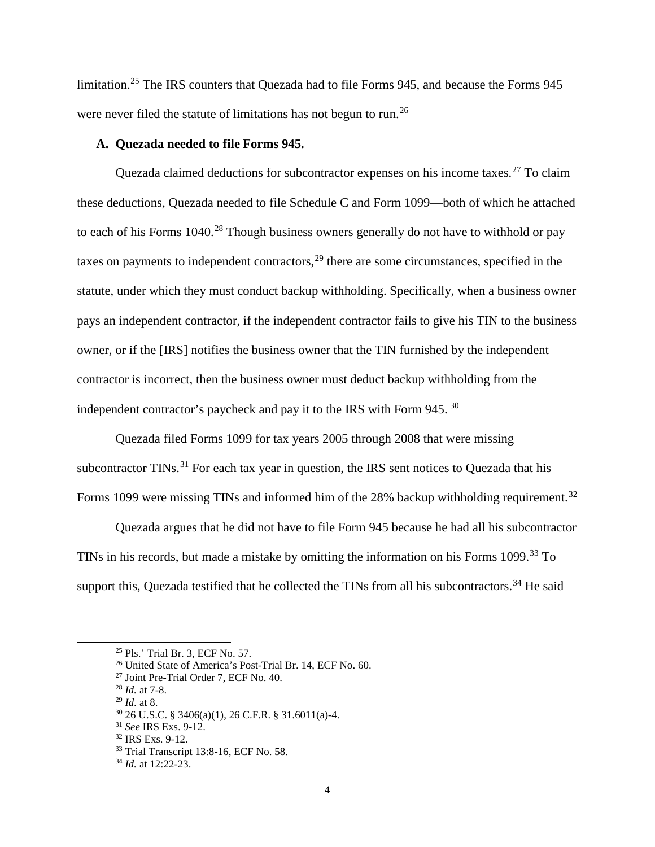limitation. [25](#page-3-0) The IRS counters that Quezada had to file Forms 945, and because the Forms 945 were never filed the statute of limitations has not begun to run.<sup>[26](#page-3-1)</sup>

#### **A. Quezada needed to file Forms 945.**

Quezada claimed deductions for subcontractor expenses on his income taxes.<sup>[27](#page-3-2)</sup> To claim these deductions, Quezada needed to file Schedule C and Form 1099—both of which he attached to each of his Forms 1040.<sup>[28](#page-3-3)</sup> Though business owners generally do not have to withhold or pay taxes on payments to independent contractors,  $2<sup>9</sup>$  there are some circumstances, specified in the statute, under which they must conduct backup withholding. Specifically, when a business owner pays an independent contractor, if the independent contractor fails to give his TIN to the business owner, or if the [IRS] notifies the business owner that the TIN furnished by the independent contractor is incorrect, then the business owner must deduct backup withholding from the independent contractor's paycheck and pay it to the IRS with Form 945. [30](#page-3-5)

Quezada filed Forms 1099 for tax years 2005 through 2008 that were missing subcontractor TINs.<sup>[31](#page-3-6)</sup> For each tax year in question, the IRS sent notices to Quezada that his Forms 1099 were missing TINs and informed him of the 28% backup withholding requirement.<sup>[32](#page-3-7)</sup>

Quezada argues that he did not have to file Form 945 because he had all his subcontractor TINs in his records, but made a mistake by omitting the information on his Forms 1099.<sup>[33](#page-3-8)</sup> To support this, Quezada testified that he collected the TINs from all his subcontractors.<sup>[34](#page-3-9)</sup> He said

<span id="page-3-4"></span><sup>29</sup> *Id.* at 8.

<span id="page-3-0"></span> <sup>25</sup> Pls.' Trial Br. 3, ECF No. 57.

<span id="page-3-1"></span><sup>26</sup> United State of America's Post-Trial Br. 14, ECF No. 60.

<span id="page-3-2"></span><sup>27</sup> Joint Pre-Trial Order 7, ECF No. 40.

<span id="page-3-3"></span><sup>28</sup> *Id.* at 7-8.

<span id="page-3-5"></span><sup>30</sup> 26 U.S.C. § 3406(a)(1), 26 C.F.R. § 31.6011(a)-4.

<span id="page-3-7"></span><span id="page-3-6"></span><sup>31</sup> *See* IRS Exs. 9-12.

<sup>32</sup> IRS Exs. 9-12.

<sup>33</sup> Trial Transcript 13:8-16, ECF No. 58.

<span id="page-3-9"></span><span id="page-3-8"></span><sup>34</sup> *Id.* at 12:22-23.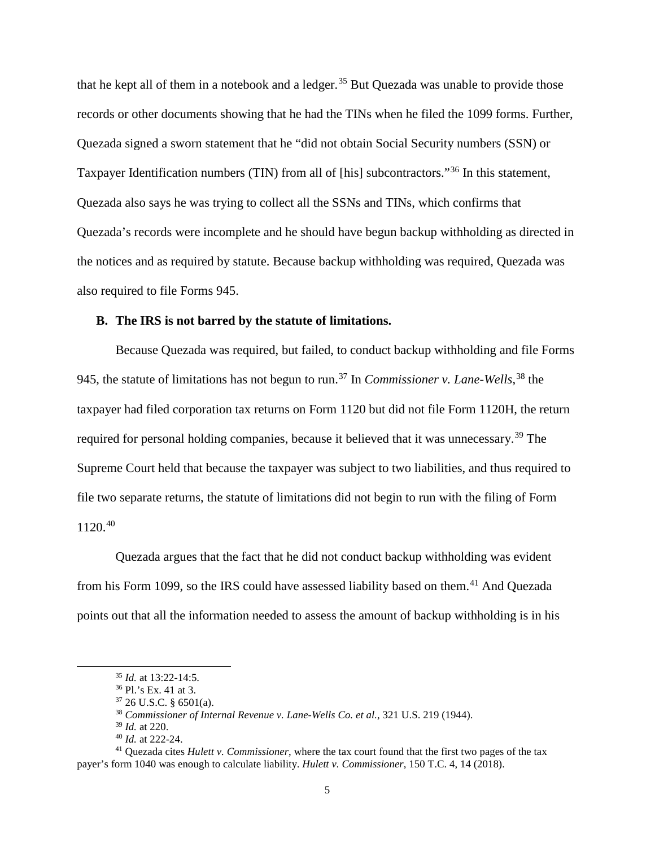that he kept all of them in a notebook and a ledger.<sup>[35](#page-4-0)</sup> But Quezada was unable to provide those records or other documents showing that he had the TINs when he filed the 1099 forms. Further, Quezada signed a sworn statement that he "did not obtain Social Security numbers (SSN) or Taxpayer Identification numbers (TIN) from all of [his] subcontractors."<sup>[36](#page-4-1)</sup> In this statement, Quezada also says he was trying to collect all the SSNs and TINs, which confirms that Quezada's records were incomplete and he should have begun backup withholding as directed in the notices and as required by statute. Because backup withholding was required, Quezada was also required to file Forms 945.

### **B. The IRS is not barred by the statute of limitations.**

Because Quezada was required, but failed, to conduct backup withholding and file Forms 945, the statute of limitations has not begun to run.[37](#page-4-2) In *Commissioner v. Lane-Wells*, [38](#page-4-3) the taxpayer had filed corporation tax returns on Form 1120 but did not file Form 1120H, the return required for personal holding companies, because it believed that it was unnecessary.<sup>[39](#page-4-4)</sup> The Supreme Court held that because the taxpayer was subject to two liabilities, and thus required to file two separate returns, the statute of limitations did not begin to run with the filing of Form 1120.[40](#page-4-5)

Quezada argues that the fact that he did not conduct backup withholding was evident from his Form 1099, so the IRS could have assessed liability based on them.<sup>[41](#page-4-6)</sup> And Quezada points out that all the information needed to assess the amount of backup withholding is in his

 <sup>35</sup> *Id.* at 13:22-14:5.

<sup>36</sup> Pl.'s Ex. 41 at 3.

<sup>37</sup> 26 U.S.C. § 6501(a).

<sup>38</sup> *Commissioner of Internal Revenue v. Lane-Wells Co. et al.*, 321 U.S. 219 (1944).

<sup>39</sup> *Id.* at 220.

<sup>40</sup> *Id.* at 222-24.

<span id="page-4-6"></span><span id="page-4-5"></span><span id="page-4-4"></span><span id="page-4-3"></span><span id="page-4-2"></span><span id="page-4-1"></span><span id="page-4-0"></span><sup>41</sup> Quezada cites *Hulett v. Commissioner*, where the tax court found that the first two pages of the tax payer's form 1040 was enough to calculate liability. *Hulett v. Commissioner*, 150 T.C. 4, 14 (2018).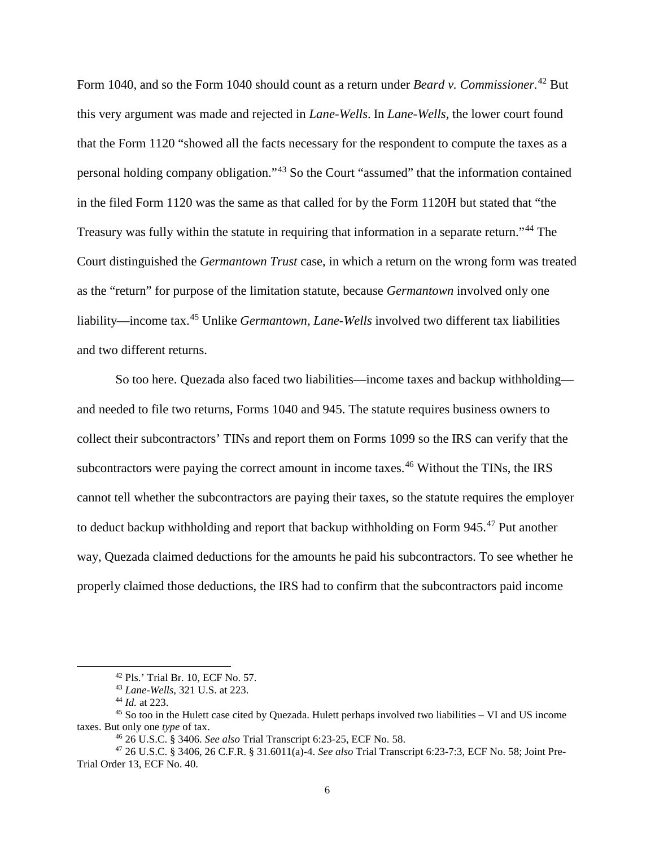Form 1040, and so the Form 1040 should count as a return under *Beard v. Commissioner.*[42](#page-5-0) But this very argument was made and rejected in *Lane-Wells*. In *Lane-Wells,* the lower court found that the Form 1120 "showed all the facts necessary for the respondent to compute the taxes as a personal holding company obligation."[43](#page-5-1) So the Court "assumed" that the information contained in the filed Form 1120 was the same as that called for by the Form 1120H but stated that "the Treasury was fully within the statute in requiring that information in a separate return."<sup>[44](#page-5-2)</sup> The Court distinguished the *Germantown Trust* case, in which a return on the wrong form was treated as the "return" for purpose of the limitation statute, because *Germantown* involved only one liability—income tax.[45](#page-5-3) Unlike *Germantown, Lane-Wells* involved two different tax liabilities and two different returns.

So too here. Quezada also faced two liabilities—income taxes and backup withholding and needed to file two returns, Forms 1040 and 945. The statute requires business owners to collect their subcontractors' TINs and report them on Forms 1099 so the IRS can verify that the subcontractors were paying the correct amount in income taxes.<sup>[46](#page-5-4)</sup> Without the TINs, the IRS cannot tell whether the subcontractors are paying their taxes, so the statute requires the employer to deduct backup withholding and report that backup withholding on Form 945.<sup>[47](#page-5-5)</sup> Put another way, Quezada claimed deductions for the amounts he paid his subcontractors. To see whether he properly claimed those deductions, the IRS had to confirm that the subcontractors paid income

 <sup>42</sup> Pls.' Trial Br. 10, ECF No. 57.

<sup>43</sup> *Lane-Wells*, 321 U.S. at 223.

<sup>44</sup> *Id.* at 223.

<span id="page-5-3"></span><span id="page-5-2"></span><span id="page-5-1"></span><span id="page-5-0"></span><sup>45</sup> So too in the Hulett case cited by Quezada. Hulett perhaps involved two liabilities – VI and US income taxes. But only one *type* of tax. 46 26 U.S.C. § 3406. *See also* Trial Transcript 6:23-25, ECF No. 58.

<span id="page-5-5"></span><span id="page-5-4"></span><sup>47</sup> 26 U.S.C. § 3406, 26 C.F.R. § 31.6011(a)-4. *See also* Trial Transcript 6:23-7:3, ECF No. 58; Joint Pre-Trial Order 13, ECF No. 40.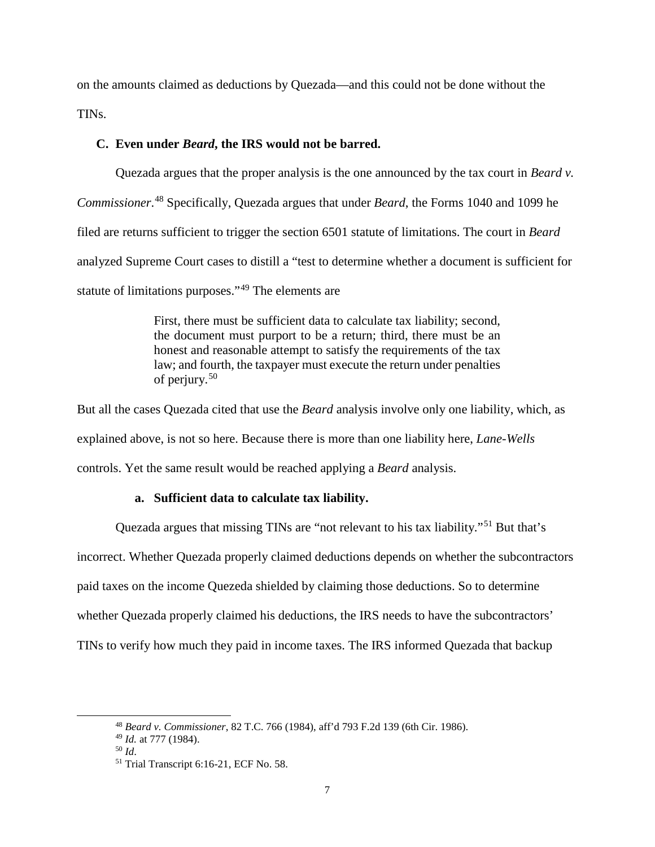on the amounts claimed as deductions by Quezada—and this could not be done without the TINs.

## **C. Even under** *Beard***, the IRS would not be barred.**

Quezada argues that the proper analysis is the one announced by the tax court in *Beard v. Commissioner*. [48](#page-6-0) Specifically, Quezada argues that under *Beard*, the Forms 1040 and 1099 he filed are returns sufficient to trigger the section 6501 statute of limitations. The court in *Beard* analyzed Supreme Court cases to distill a "test to determine whether a document is sufficient for statute of limitations purposes."[49](#page-6-1) The elements are

> First, there must be sufficient data to calculate tax liability; second, the document must purport to be a return; third, there must be an honest and reasonable attempt to satisfy the requirements of the tax law; and fourth, the taxpayer must execute the return under penalties of perjury.[50](#page-6-2)

But all the cases Quezada cited that use the *Beard* analysis involve only one liability, which, as explained above, is not so here. Because there is more than one liability here, *Lane-Wells* controls. Yet the same result would be reached applying a *Beard* analysis.

## **a. Sufficient data to calculate tax liability.**

Quezada argues that missing TINs are "not relevant to his tax liability."[51](#page-6-3) But that's incorrect. Whether Quezada properly claimed deductions depends on whether the subcontractors paid taxes on the income Quezeda shielded by claiming those deductions. So to determine whether Quezada properly claimed his deductions, the IRS needs to have the subcontractors' TINs to verify how much they paid in income taxes. The IRS informed Quezada that backup

<span id="page-6-0"></span> <sup>48</sup> *Beard v. Commissioner*, 82 T.C. 766 (1984), aff'd 793 F.2d 139 (6th Cir. 1986).

<span id="page-6-1"></span><sup>49</sup> *Id.* at 777 (1984).

<sup>50</sup> *Id*.

<span id="page-6-3"></span><span id="page-6-2"></span><sup>51</sup> Trial Transcript 6:16-21, ECF No. 58.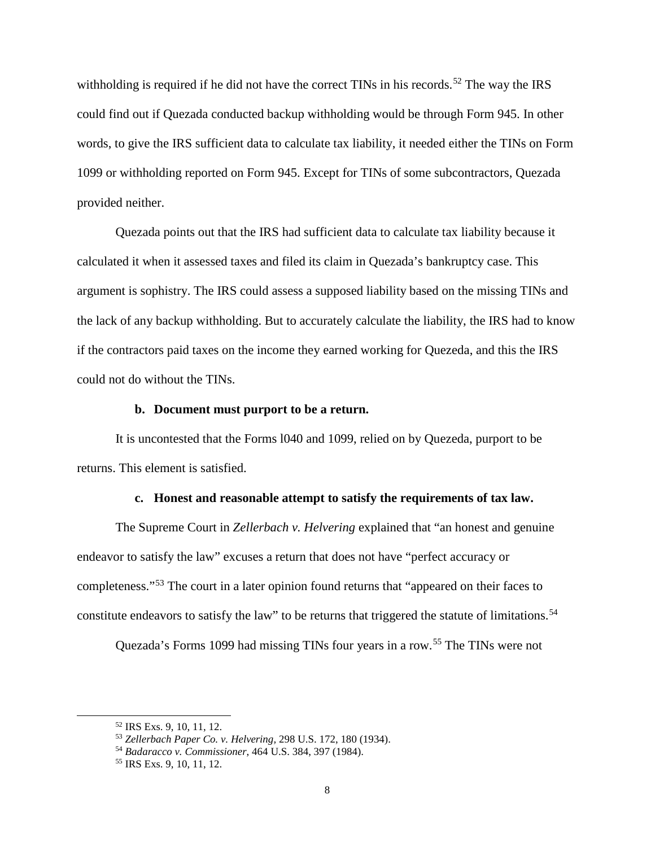withholding is required if he did not have the correct TINs in his records.<sup>[52](#page-7-0)</sup> The way the IRS could find out if Quezada conducted backup withholding would be through Form 945. In other words, to give the IRS sufficient data to calculate tax liability, it needed either the TINs on Form 1099 or withholding reported on Form 945. Except for TINs of some subcontractors, Quezada provided neither.

Quezada points out that the IRS had sufficient data to calculate tax liability because it calculated it when it assessed taxes and filed its claim in Quezada's bankruptcy case. This argument is sophistry. The IRS could assess a supposed liability based on the missing TINs and the lack of any backup withholding. But to accurately calculate the liability, the IRS had to know if the contractors paid taxes on the income they earned working for Quezeda, and this the IRS could not do without the TINs.

### **b. Document must purport to be a return.**

It is uncontested that the Forms l040 and 1099, relied on by Quezeda, purport to be returns. This element is satisfied.

#### **c. Honest and reasonable attempt to satisfy the requirements of tax law.**

The Supreme Court in *Zellerbach v. Helvering* explained that "an honest and genuine endeavor to satisfy the law" excuses a return that does not have "perfect accuracy or completeness."[53](#page-7-1) The court in a later opinion found returns that "appeared on their faces to constitute endeavors to satisfy the law" to be returns that triggered the statute of limitations.<sup>[54](#page-7-2)</sup>

Quezada's Forms 1099 had missing TINs four years in a row.[55](#page-7-3) The TINs were not

<span id="page-7-0"></span> <sup>52</sup> IRS Exs. 9, 10, 11, 12.

<span id="page-7-1"></span><sup>53</sup> *Zellerbach Paper Co. v. Helvering,* 298 U.S. 172, 180 (1934).

<span id="page-7-2"></span><sup>54</sup> *Badaracco v. Commissioner*, 464 U.S. 384, 397 (1984).

<span id="page-7-3"></span><sup>55</sup> IRS Exs. 9, 10, 11, 12.